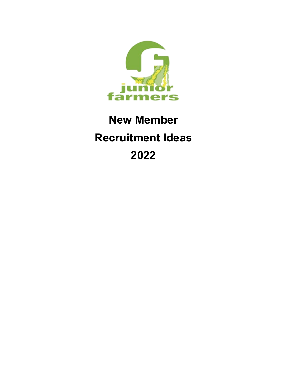

# **New Member Recruitment Ideas 2022**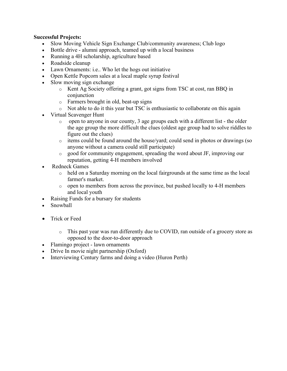## **Successful Projects:**

- Slow Moving Vehicle Sign Exchange Club/community awareness; Club logo
- Bottle drive alumni approach, teamed up with a local business
- Running a 4H scholarship, agriculture based
- Roadside cleanup
- Lawn Ornaments: i.e.. Who let the hogs out initiative
- Open Kettle Popcorn sales at a local maple syrup festival
- Slow moving sign exchange
	- o Kent Ag Society offering a grant, got signs from TSC at cost, ran BBQ in conjunction
	- o Farmers brought in old, beat-up signs
	- o Not able to do it this year but TSC is enthusiastic to collaborate on this again
- Virtual Scavenger Hunt
	- o open to anyone in our county, 3 age groups each with a different list the older the age group the more difficult the clues (oldest age group had to solve riddles to figure out the clues)
	- o items could be found around the house/yard; could send in photos or drawings (so anyone without a camera could still participate)
	- o good for community engagement, spreading the word about JF, improving our reputation, getting 4-H members involved
- Redneck Games
	- o held on a Saturday morning on the local fairgrounds at the same time as the local farmer's market.
	- o open to members from across the province, but pushed locally to 4-H members and local youth
- Raising Funds for a bursary for students
- Snowball
- Trick or Feed
	- o This past year was run differently due to COVID, ran outside of a grocery store as opposed to the door-to-door approach
- Flamingo project lawn ornaments
- Drive In movie night partnership (Oxford)
- Interviewing Century farms and doing a video (Huron Perth)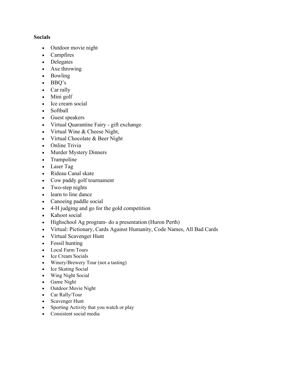## **Socials**

- Outdoor movie night
- Campfires
- Delegates
- Axe throwing
- Bowling
- BBQ's
- Car rally
- Mini golf
- Ice cream social
- Softball
- Guest speakers
- Virtual Quarantine Fairy gift exchange
- Virtual Wine & Cheese Night,
- Virtual Chocolate & Beer Night
- Online Trivia
- Murder Mystery Dinners
- Trampoline
- Laser Tag
- Rideau Canal skate
- Cow paddy golf tournament
- Two-step nights
- learn to line dance
- Canoeing paddle social
- 4-H judging and go for the gold competition
- Kahoot social
- Highschool Ag program- do a presentation (Huron Perth)
- Virtual: Pictionary, Cards Against Humanity, Code Names, All Bad Cards
- Virtual Scavenger Hunt
- Fossil hunting
- Local Farm Tours
- Ice Cream Socials
- Winery/Brewery Tour (not a tasting)
- Ice Skating Social
- Wing Night Social
- Game Night
- Outdoor Movie Night
- Car Rally/Tour
- Scavenger Hunt
- Sporting Activity that you watch or play
- Consistent social media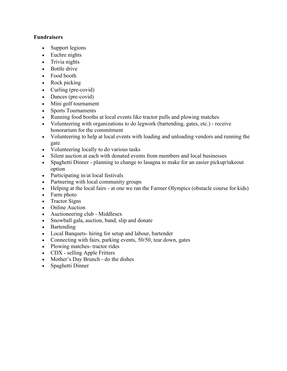## **Fundraisers**

- Support legions
- Euchre nights
- Trivia nights
- Bottle drive
- Food booth
- Rock picking
- Curling (pre-covid)
- Dances (pre-covid)
- Mini golf tournament
- Sports Tournaments
- Running food booths at local events like tractor pulls and plowing matches
- Volunteering with organizations to do legwork (bartending, gates, etc.) receive honorarium for the commitment
- Volunteering to help at local events with loading and unloading vendors and running the gate
- Volunteering locally to do various tasks
- Silent auction at each with donated events from members and local businesses
- Spaghetti Dinner planning to change to lasagna to make for an easier pickup/takeout option
- Participating in/at local festivals
- Partnering with local community groups
- Helping at the local fairs at one we ran the Farmer Olympics (obstacle course for kids)
- Farm photo
- Tractor Signs
- Online Auction
- Auctioneering club Middlesex
- Snowball gala, auction, band, slip and donate
- Bartending
- Local Banquets- hiring for setup and labour, bartender
- Connecting with fairs, parking events, 50/50, tear down, gates
- Plowing matches-tractor rides
- CDX selling Apple Fritters
- Mother's Day Brunch do the dishes
- Spaghetti Dinner